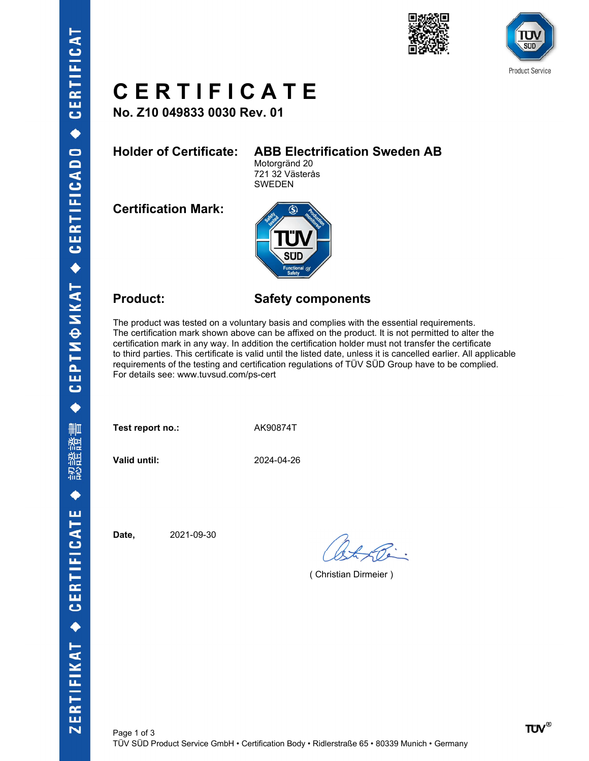





# C E R T I F I C A T E  $C \in R$   $T$   $I \in C$   $A$   $T \in C$ <br>
No. 210 049833 0030 Rev. 01<br>
Holder of Certificate: ABB Electrification Sweden AB<br>  $\frac{\text{Motogrand 20}}{721 32 \text{ Vasterás}}$ <br>
Certification Mark:

No. Z10 049833 0030 Rev. 01

Motorgränd 20 721 32 Västerås SWEDEN

Certification Mark:



**CERTIFICATE**<br>
No. 210 049833 0030 Rev. 01<br>
Holder of Certificatie: ABB Electrification Sweden AB<br>
Motogrand 20<br>
T21.32 Vasteras<br>
Certification Mark:<br>
The product: Safety components<br>
The product: Safety components<br>
The pro The product was tested on a voluntary basis and complies with the essential requirements. The certification mark shown above can be affixed on the product. It is not permitted to alter the certification mark in any way. In addition the certification holder must not transfer the certificate to third parties. This certificate is valid until the listed date, unless it is cancelled earlier. All applicable requirements of the testing and certification regulations of TÜV SÜD Group have to be complied. For details see: www.tuvsud.com/ps-cert

Test report no.: AK90874T

Valid until: 2024-04-26

Date, 2021-09-30

( Christian Dirmeier )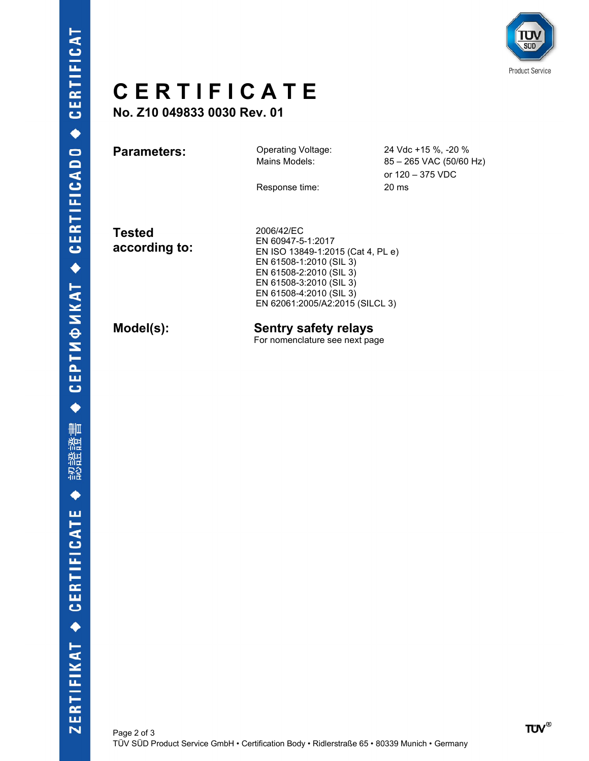

# CERTIFICATE

|                                |                                                                                                                                                                                  |                                                                    | <b>Product Service</b> |
|--------------------------------|----------------------------------------------------------------------------------------------------------------------------------------------------------------------------------|--------------------------------------------------------------------|------------------------|
| <b>CERTIFICATE</b>             |                                                                                                                                                                                  |                                                                    |                        |
| No. Z10 049833 0030 Rev. 01    |                                                                                                                                                                                  |                                                                    |                        |
| <b>Parameters:</b>             | Operating Voltage:<br>Mains Models:                                                                                                                                              | 24 Vdc +15 %, -20 %<br>85 - 265 VAC (50/60 Hz)<br>or 120 - 375 VDC |                        |
|                                | Response time:                                                                                                                                                                   | 20 ms                                                              |                        |
| <b>Tested</b><br>according to: | 2006/42/EC<br>EN 60947-5-1:2017<br>EN ISO 13849-1:2015 (Cat 4, PL e)<br>EN 61508-1:2010 (SIL 3)<br>EN 61508-2:2010 (SIL 3)<br>EN 61508-3:2010 (SIL 3)<br>EN 61508-4:2010 (SIL 3) |                                                                    |                        |
|                                | EN 62061:2005/A2:2015 (SILCL 3)                                                                                                                                                  |                                                                    |                        |